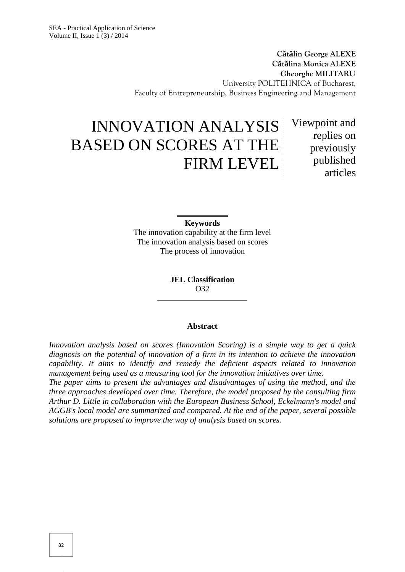**C t lin George ALEXE C t lina Monica ALEXE Gheorghe MILITARU** University POLITEHNICA of Bucharest, Faculty of Entrepreneurship, Business Engineering and Management

# INNOVATION ANALYSIS BASED ON SCORES AT THE FIRM LEVEL

Viewpoint and replies on previously published articles

**Keywords**

The innovation capability at the firm level The innovation analysis based on scores The process of innovation

> **JEL Classification** O32

#### **Abstract**

*Innovation analysis based on scores (Innovation Scoring) is a simple way to get a quick diagnosis on the potential of innovation of a firm in its intention to achieve the innovation capability. It aims to identify and remedy the deficient aspects related to innovation management being used as a measuring tool for the innovation initiatives over time.*

*The paper aims to present the advantages and disadvantages of using the method, and the three approaches developed over time. Therefore, the model proposed by the consulting firm Arthur D. Little in collaboration with the European Business School, Eckelmann's model and AGGB's local model are summarized and compared. At the end of the paper, several possible solutions are proposed to improve the way of analysis based on scores.*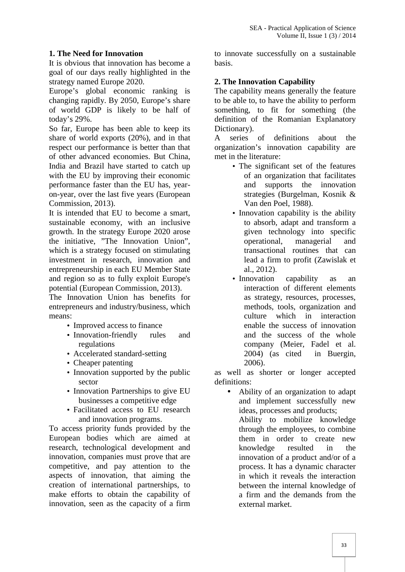### **1. The Need for Innovation**

It is obvious that innovation has become a goal of our days really highlighted in the strategy named Europe 2020.

Europe's global economic ranking is changing rapidly. By 2050, Europe's share of world GDP is likely to be half of today's 29%.

So far, Europe has been able to keep its share of world exports (20%), and in that respect our performance is better than that of other advanced economies. But China, India and Brazil have started to catch up with the EU by improving their economic performance faster than the EU has, year on-year, over the last five years (European Commission, 2013).

It is intended that EU to become a smart, sustainable economy, with an inclusive growth. In the strategy Europe 2020 arose the initiative, "The Innovation Union", which is a strategy focused on stimulating investment in research, innovation and entrepreneurship in each EU Member State and region so as to fully exploit Europe's potential (European Commission, 2013).

The Innovation Union has benefits for entrepreneurs and industry/business, which means:

- Improved access to finance
- Innovation-friendly rules and regulations
- Accelerated standard-setting
- Cheaper patenting
- Innovation supported by the public sector
- Innovation Partnerships to give EU businesses a competitive edge
- Facilitated access to EU research and innovation programs.

To access priority funds provided by the European bodies which are aimed at research, technological development and innovation, companies must prove that are competitive, and pay attention to the aspects of innovation, that aiming the creation of international partnerships, to make efforts to obtain the capability of innovation, seen as the capacity of a firm

to innovate successfully on a sustainable basis.

### **2. The Innovation Capability**

The capability means generally the feature to be able to, to have the ability to perform something, to fit for something (the definition of the Romanian Explanatory Dictionary).

A series of definitions about the organization's innovation capability are met in the literature:

- The significant set of the features of an organization that facilitates and supports the innovation strategies (Burgelman, Kosnik & Van den Poel, 1988).
- Innovation capability is the ability to absorb, adapt and transform a given technology into specific operational, managerial and transactional routines that can lead a firm to profit (Zawislak et al., 2012).
- Innovation capability as an interaction of different elements as strategy, resources, processes, methods, tools, organization and culture which in interaction enable the success of innovation and the success of the whole company (Meier, Fadel et al. 2004) (as cited in Buergin, 2006).

as well as shorter or longer accepted definitions:

 Ability of an organization to adapt and implement successfully new ideas, processes and products; Ability to mobilize knowledge through the employees, to combine them in order to create new knowledge resulted in the innovation of a product and/or of a process. It has a dynamic character in which it reveals the interaction between the internal knowledge of a firm and the demands from the external market.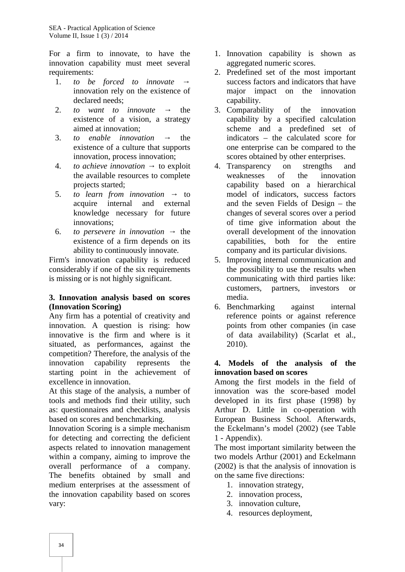For a firm to innovate, to have the innovation capability must meet several requirements:

- 1. *to be forced to innovate* innovation rely on the existence of declared needs;
- 2. *to want to innovate* the existence of a vision, a strategy aimed at innovation;
- 3. *to enable innovation* the existence of a culture that supports innovation, process innovation;
- 4. *to achieve innovation* to exploit the available resources to complete projects started;
- 5. *to learn from innovation* to acquire internal and external knowledge necessary for future innovations;
- 6. *to persevere in innovation* → the existence of a firm depends on its ability to continuously innovate.

Firm's innovation capability is reduced considerably if one of the six requirements is missing or is not highly significant.

#### **3. Innovation analysis based on scores (Innovation Scoring)**

Any firm has a potential of creativity and innovation. A question is rising: how innovative is the firm and where is it situated, as performances, against the competition? Therefore, the analysis of the innovation capability represents the starting point in the achievement of excellence in innovation.

At this stage of the analysis, a number of tools and methods find their utility, such as: questionnaires and checklists, analysis based on scores and benchmarking.

Innovation Scoring is a simple mechanism for detecting and correcting the deficient aspects related to innovation management within a company, aiming to improve the overall performance of a company. The benefits obtained by small and medium enterprises at the assessment of the innovation capability based on scores vary:

- 1. Innovation capability is shown as aggregated numeric scores.
- 2. Predefined set of the most important success factors and indicators that have major impact on the innovation capability.
- 3. Comparability of the innovation capability by a specified calculation scheme and a predefined set of indicators – the calculated score for one enterprise can be compared to the scores obtained by other enterprises.
- 4. Transparency on strengths and weaknesses of the innovation capability based on a hierarchical model of indicators, success factors and the seven Fields of Design – the changes of several scores over a period of time give information about the overall development of the innovation capabilities, both for the entire company and its particular divisions.
- 5. Improving internal communication and the possibility to use the results when communicating with third parties like: customers, partners, investors or media.
- 6. Benchmarking against internal reference points or against reference points from other companies (in case of data availability) (Scarlat et al., 2010).

#### **4. Models of the analysis of the innovation based on scores**

Among the first models in the field of innovation was the score-based model developed in its first phase (1998) by Arthur D. Little in co-operation with European Business School. Afterwards, the Eckelmann's model (2002) (see Table 1 - Appendix).

The most important similarity between the two models Arthur (2001) and Eckelmann (2002) is that the analysis of innovation is on the same five directions:

- 1. innovation strategy,
- 2. innovation process,
- 3. innovation culture,
- 4. resources deployment,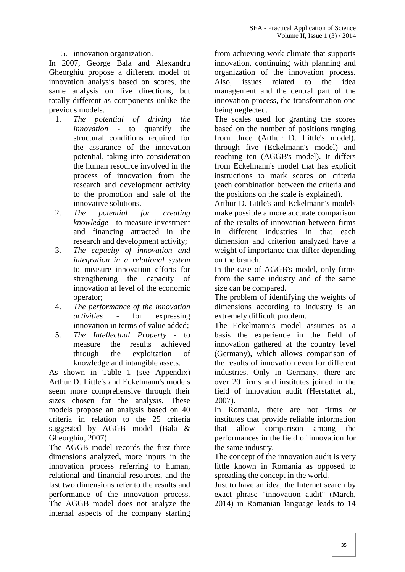#### 5. innovation organization.

In 2007, George Bala and Alexandru Gheorghiu propose a different model of innovation analysis based on scores, the Also, same analysis on five directions, but totally different as components unlike the previous models.

- 1. *The potential of driving the innovation* - to quantify the structural conditions required for the assurance of the innovation potential, taking into consideration the human resource involved in the process of innovation from the research and development activity to the promotion and sale of the innovative solutions.
- 2. *The potential for creating knowledge* - to measure investment and financing attracted in the research and development activity;
- 3. *The capacity of innovation and integration in a relational system* to measure innovation efforts for strengthening the capacity of innovation at level of the economic operator;
- 4. *The performance of the innovation activities* - for expressing innovation in terms of value added;
- 5. *The Intellectual Property* to measure the results achieved through the exploitation of knowledge and intangible assets.

As shown in Table 1 (see Appendix) Arthur D. Little's and Eckelmann's models seem more comprehensive through their sizes chosen for the analysis. These models propose an analysis based on 40 criteria in relation to the 25 criteria suggested by AGGB model (Bala & Gheorghiu, 2007).

The AGGB model records the first three dimensions analyzed, more inputs in the innovation process referring to human, relational and financial resources, and the last two dimensions refer to the results and performance of the innovation process. The AGGB model does not analyze the internal aspects of the company starting

from achieving work climate that supports innovation, continuing with planning and organization of the innovation process. issues related to the idea management and the central part of the innovation process, the transformation one being neglected.

The scales used for granting the scores based on the number of positions ranging from three (Arthur D. Little's model), through five (Eckelmann's model) and reaching ten (AGGB's model). It differs from Eckelmann's model that has explicit instructions to mark scores on criteria (each combination between the criteria and the positions on the scale is explained).

Arthur D. Little's and Eckelmann's models make possible a more accurate comparison of the results of innovation between firms different industries in that each dimension and criterion analyzed have a weight of importance that differ depending on the branch.

In the case of AGGB's model, only firms from the same industry and of the same size can be compared.

The problem of identifying the weights of dimensions according to industry is an extremely difficult problem.

The Eckelmann's model assumes as a basis the experience in the field of innovation gathered at the country level (Germany), which allows comparison of the results of innovation even for different industries. Only in Germany, there are over 20 firms and institutes joined in the field of innovation audit (Herstattet al., 2007).

In Romania, there are not firms or institutes that provide reliable information comparison among the performances in the field of innovation for the same industry.

The concept of the innovation audit is very little known in Romania as opposed to spreading the concept in the world.

Just to have an idea, the Internet search by exact phrase "innovation audit" (March, 2014) in Romanian language leads to 14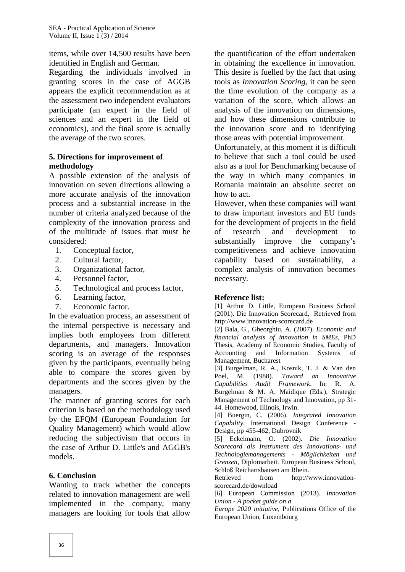items, while over 14,500 results have been identified in English and German.

Regarding the individuals involved in granting scores in the case of AGGB appears the explicit recommendation as at the assessment two independent evaluators participate (an expert in the field of sciences and an expert in the field of economics), and the final score is actually the average of the two scores.

### **5. Directions for improvement of methodology**

A possible extension of the analysis of innovation on seven directions allowing a more accurate analysis of the innovation process and a substantial increase in the number of criteria analyzed because of the complexity of the innovation process and of the multitude of issues that must be considered:

- 1. Conceptual factor,
- 2. Cultural factor,
- 3. Organizational factor,
- 4. Personnel factor,
- 5. Technological and process factor,
- 6. Learning factor,
- 7. Economic factor.

In the evaluation process, an assessment of the internal perspective is necessary and implies both employees from different departments, and managers. Innovation scoring is an average of the responses given by the participants, eventually being able to compare the scores given by departments and the scores given by the managers.

The manner of granting scores for each criterion is based on the methodology used by the EFQM (European Foundation for Quality Management) which would allow reducing the subjectivism that occurs in the case of Arthur D. Little's and AGGB's models.

#### **6. Conclusion**

Wanting to track whether the concepts related to innovation management are well implemented in the company, many managers are looking for tools that allow

the quantification of the effort undertaken in obtaining the excellence in innovation. This desire is fuelled by the fact that using tools as *Innovation Scoring*, it can be seen the time evolution of the company as a variation of the score, which allows an analysis of the innovation on dimensions, and how these dimensions contribute to the innovation score and to identifying those areas with potential improvement.

Unfortunately, at this moment it is difficult to believe that such a tool could be used also as a tool for Benchmarking because of the way in which many companies in Romania maintain an absolute secret on how to act.

However, when these companies will want to draw important investors and EU funds for the development of projects in the field research and development to substantially improve the company's competitiveness and achieve innovation capability based on sustainability, a complex analysis of innovation becomes necessary.

#### **Reference list:**

[1] Arthur D. Little, European Business School (2001). Die Innovation Scorecard, Retrieved from http://www.innovation-scorecard.de

[2] Bala, G., Gheorghiu, A. (2007). *Economic and financial analysis of innovation in SMEs,* PhD Thesis, Academy of Economic Studies, Faculty of Accounting and Information Systems of Management, Bucharest

[3] Burgelman, R. A., Kosnik, T. J. & Van den Poel, M. (1988). *Toward an Innovative Capabilities Audit Framework*. In: R. A. Burgelman & M. A. Maidique (Eds.), Strategic Management of Technology and Innovation, pp 31- 44. Homewood, Illinois, Irwin.

[4] Buergin, C. (2006). *Integrated Innovation Capability*, International Design Conference - Design, pp 455-462, Dubrovnik

[5] Eckelmann, O. (2002). *Die Innovation Scorecard als Instrument des Innovations- und Technologiemanagements - Möglichkeiten und Grenzen*, Diplomarbeit. European Business School, Schloß Reichartshausen am Rhein.

Retrieved from http://www.innovation scorecard.de/download

[6] European Commission (2013). *Innovation Union - A pocket guide on a*

*Europe 2020 initiative,* Publications Office of the European Union, Luxembourg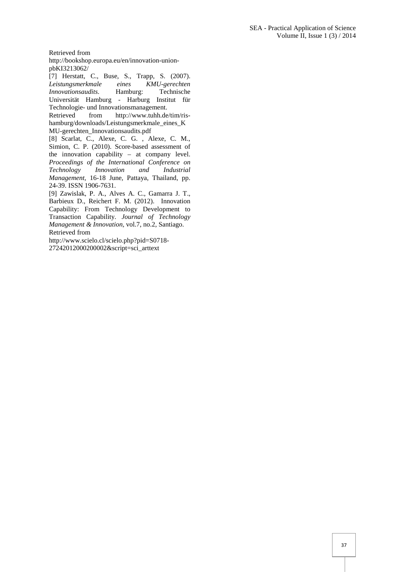Retrieved from

http://bookshop.europa.eu/en/innovation-union pbKI3213062/

[7] Herstatt, C., Buse, S., Trapp, S. (2007). *Leistungsmerkmale eines KMU-gerechten Innovationsaudits*. Hamburg: Technische Universität Hamburg - Harburg Institut für Technologie- und Innovationsmanagement.<br>Retrieved from http://www.tuhh.de

from http://www.tuhh.de/tim/rishamburg/downloads/Leistungsmerkmale\_eines\_K MU-gerechten\_Innovationsaudits.pdf

[8] Scarlat, C., Alexe, C. G. , Alexe, C. M., Simion, C. P. (2010). Score-based assessment of the innovation capability – at company level. *Proceedings of the International Conference on Technology Innovation and Industrial Management,* 16-18 June, Pattaya, Thailand, pp. 24-39. ISSN 1906-7631.

[9] Zawislak, P. A., Alves A. C., Gamarra J. T., Barbieux D., Reichert F. M. (2012). Innovation Capability: From Technology Development to Transaction Capability. *Journal of Technology Management & Innovation,* vol.7, no.2, Santiago. Retrieved from

http://www.scielo.cl/scielo.php?pid=S0718- 27242012000200002&script=sci\_arttext